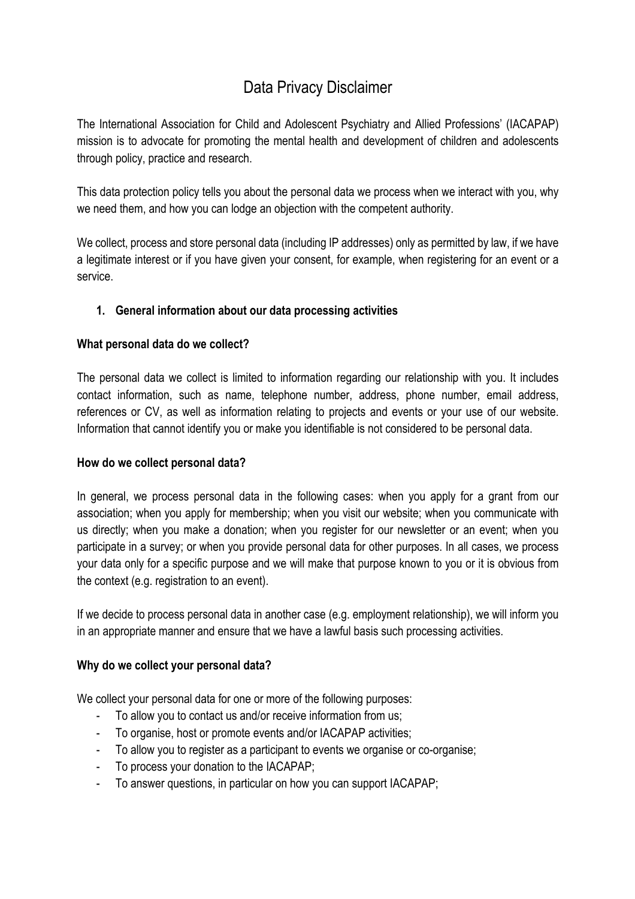# Data Privacy Disclaimer

The International Association for Child and Adolescent Psychiatry and Allied Professions' (IACAPAP) mission is to advocate for promoting the mental health and development of children and adolescents through policy, practice and research.

This data protection policy tells you about the personal data we process when we interact with you, why we need them, and how you can lodge an objection with the competent authority.

We collect, process and store personal data (including IP addresses) only as permitted by law, if we have a legitimate interest or if you have given your consent, for example, when registering for an event or a service.

# **1. General information about our data processing activities**

#### **What personal data do we collect?**

The personal data we collect is limited to information regarding our relationship with you. It includes contact information, such as name, telephone number, address, phone number, email address, references or CV, as well as information relating to projects and events or your use of our website. Information that cannot identify you or make you identifiable is not considered to be personal data.

#### **How do we collect personal data?**

In general, we process personal data in the following cases: when you apply for a grant from our association; when you apply for membership; when you visit our website; when you communicate with us directly; when you make a donation; when you register for our newsletter or an event; when you participate in a survey; or when you provide personal data for other purposes. In all cases, we process your data only for a specific purpose and we will make that purpose known to you or it is obvious from the context (e.g. registration to an event).

If we decide to process personal data in another case (e.g. employment relationship), we will inform you in an appropriate manner and ensure that we have a lawful basis such processing activities.

## **Why do we collect your personal data?**

We collect your personal data for one or more of the following purposes:

- To allow you to contact us and/or receive information from us;
- To organise, host or promote events and/or IACAPAP activities;
- To allow you to register as a participant to events we organise or co-organise;
- To process your donation to the IACAPAP;
- To answer questions, in particular on how you can support IACAPAP;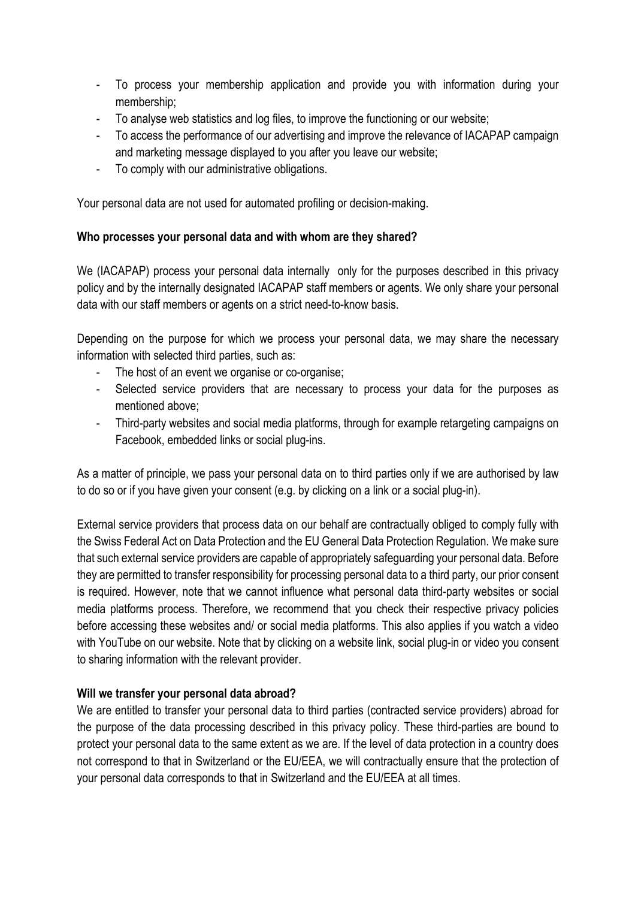- To process your membership application and provide you with information during your membership;
- To analyse web statistics and log files, to improve the functioning or our website;
- To access the performance of our advertising and improve the relevance of IACAPAP campaign and marketing message displayed to you after you leave our website;
- To comply with our administrative obligations.

Your personal data are not used for automated profiling or decision-making.

#### **Who processes your personal data and with whom are they shared?**

We (IACAPAP) process your personal data internally only for the purposes described in this privacy policy and by the internally designated IACAPAP staff members or agents. We only share your personal data with our staff members or agents on a strict need-to-know basis.

Depending on the purpose for which we process your personal data, we may share the necessary information with selected third parties, such as:

- The host of an event we organise or co-organise;
- Selected service providers that are necessary to process your data for the purposes as mentioned above;
- Third-party websites and social media platforms, through for example retargeting campaigns on Facebook, embedded links or social plug-ins.

As a matter of principle, we pass your personal data on to third parties only if we are authorised by law to do so or if you have given your consent (e.g. by clicking on a link or a social plug-in).

External service providers that process data on our behalf are contractually obliged to comply fully with the Swiss Federal Act on Data Protection and the EU General Data Protection Regulation. We make sure that such external service providers are capable of appropriately safeguarding your personal data. Before they are permitted to transfer responsibility for processing personal data to a third party, our prior consent is required. However, note that we cannot influence what personal data third-party websites or social media platforms process. Therefore, we recommend that you check their respective privacy policies before accessing these websites and/ or social media platforms. This also applies if you watch a video with YouTube on our website. Note that by clicking on a website link, social plug-in or video you consent to sharing information with the relevant provider.

#### **Will we transfer your personal data abroad?**

We are entitled to transfer your personal data to third parties (contracted service providers) abroad for the purpose of the data processing described in this privacy policy. These third-parties are bound to protect your personal data to the same extent as we are. If the level of data protection in a country does not correspond to that in Switzerland or the EU/EEA, we will contractually ensure that the protection of your personal data corresponds to that in Switzerland and the EU/EEA at all times.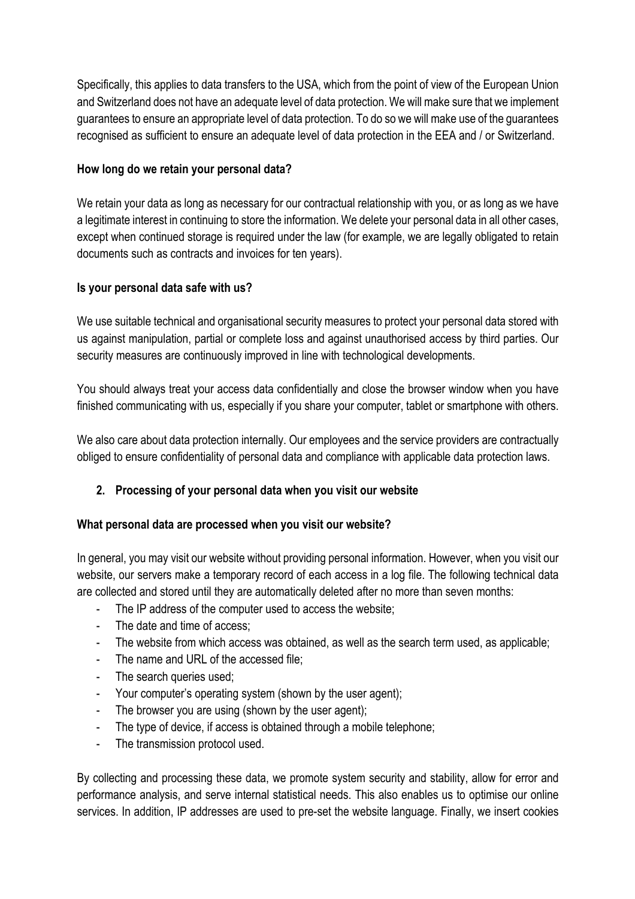Specifically, this applies to data transfers to the USA, which from the point of view of the European Union and Switzerland does not have an adequate level of data protection. We will make sure that we implement guarantees to ensure an appropriate level of data protection. To do so we will make use of the guarantees recognised as sufficient to ensure an adequate level of data protection in the EEA and / or Switzerland.

## **How long do we retain your personal data?**

We retain your data as long as necessary for our contractual relationship with you, or as long as we have a legitimate interest in continuing to store the information. We delete your personal data in all other cases, except when continued storage is required under the law (for example, we are legally obligated to retain documents such as contracts and invoices for ten years).

#### **Is your personal data safe with us?**

We use suitable technical and organisational security measures to protect your personal data stored with us against manipulation, partial or complete loss and against unauthorised access by third parties. Our security measures are continuously improved in line with technological developments.

You should always treat your access data confidentially and close the browser window when you have finished communicating with us, especially if you share your computer, tablet or smartphone with others.

We also care about data protection internally. Our employees and the service providers are contractually obliged to ensure confidentiality of personal data and compliance with applicable data protection laws.

## **2. Processing of your personal data when you visit our website**

## **What personal data are processed when you visit our website?**

In general, you may visit our website without providing personal information. However, when you visit our website, our servers make a temporary record of each access in a log file. The following technical data are collected and stored until they are automatically deleted after no more than seven months:

- The IP address of the computer used to access the website;
- The date and time of access;
- The website from which access was obtained, as well as the search term used, as applicable;
- The name and URL of the accessed file;
- The search queries used;
- Your computer's operating system (shown by the user agent);
- The browser you are using (shown by the user agent);
- The type of device, if access is obtained through a mobile telephone;
- The transmission protocol used.

By collecting and processing these data, we promote system security and stability, allow for error and performance analysis, and serve internal statistical needs. This also enables us to optimise our online services. In addition, IP addresses are used to pre-set the website language. Finally, we insert cookies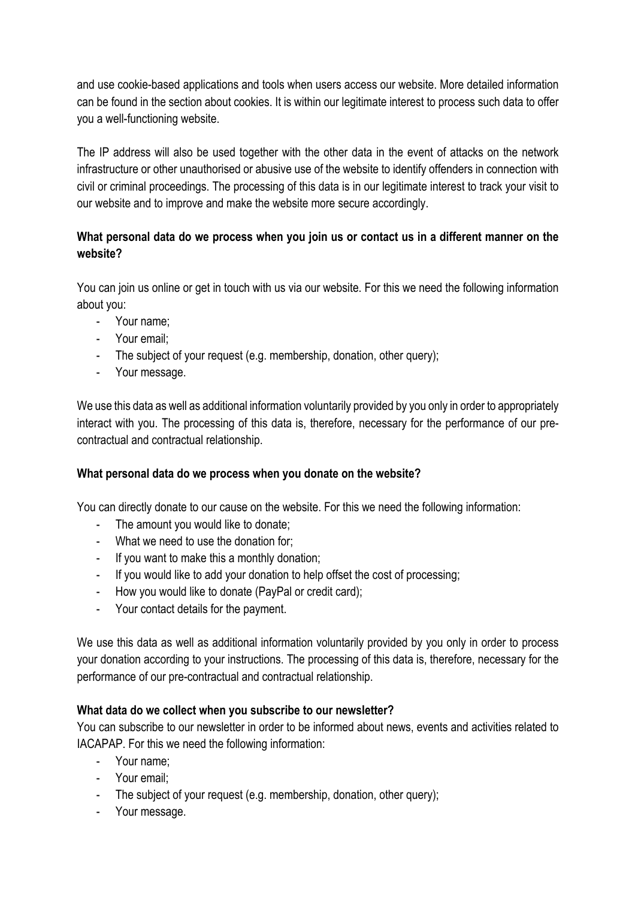and use cookie-based applications and tools when users access our website. More detailed information can be found in the section about cookies. It is within our legitimate interest to process such data to offer you a well-functioning website.

The IP address will also be used together with the other data in the event of attacks on the network infrastructure or other unauthorised or abusive use of the website to identify offenders in connection with civil or criminal proceedings. The processing of this data is in our legitimate interest to track your visit to our website and to improve and make the website more secure accordingly.

# **What personal data do we process when you join us or contact us in a different manner on the website?**

You can join us online or get in touch with us via our website. For this we need the following information about you:

- Your name;
- Your email;
- The subject of your request (e.g. membership, donation, other query);
- Your message.

We use this data as well as additional information voluntarily provided by you only in order to appropriately interact with you. The processing of this data is, therefore, necessary for the performance of our precontractual and contractual relationship.

## **What personal data do we process when you donate on the website?**

You can directly donate to our cause on the website. For this we need the following information:

- The amount you would like to donate;
- What we need to use the donation for;
- If you want to make this a monthly donation;
- If you would like to add your donation to help offset the cost of processing;
- How you would like to donate (PayPal or credit card);
- Your contact details for the payment.

We use this data as well as additional information voluntarily provided by you only in order to process your donation according to your instructions. The processing of this data is, therefore, necessary for the performance of our pre-contractual and contractual relationship.

## **What data do we collect when you subscribe to our newsletter?**

You can subscribe to our newsletter in order to be informed about news, events and activities related to IACAPAP. For this we need the following information:

- Your name;
- Your email;
- The subject of your request (e.g. membership, donation, other query);
- Your message.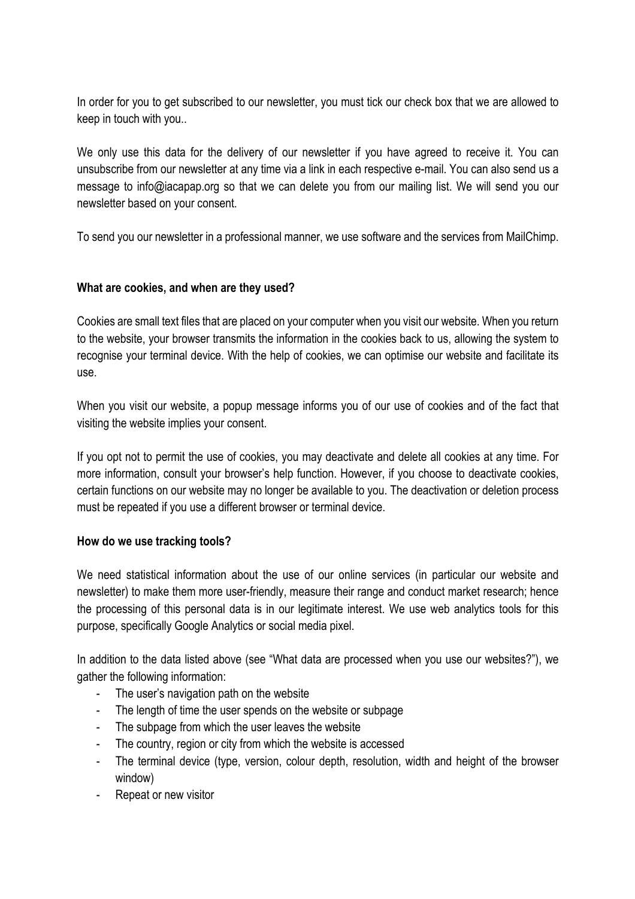In order for you to get subscribed to our newsletter, you must tick our check box that we are allowed to keep in touch with you..

We only use this data for the delivery of our newsletter if you have agreed to receive it. You can unsubscribe from our newsletter at any time via a link in each respective e-mail. You can also send us a message to info@iacapap.org so that we can delete you from our mailing list. We will send you our newsletter based on your consent.

To send you our newsletter in a professional manner, we use software and the services from MailChimp.

#### **What are cookies, and when are they used?**

Cookies are small text files that are placed on your computer when you visit our website. When you return to the website, your browser transmits the information in the cookies back to us, allowing the system to recognise your terminal device. With the help of cookies, we can optimise our website and facilitate its use.

When you visit our website, a popup message informs you of our use of cookies and of the fact that visiting the website implies your consent.

If you opt not to permit the use of cookies, you may deactivate and delete all cookies at any time. For more information, consult your browser's help function. However, if you choose to deactivate cookies, certain functions on our website may no longer be available to you. The deactivation or deletion process must be repeated if you use a different browser or terminal device.

#### **How do we use tracking tools?**

We need statistical information about the use of our online services (in particular our website and newsletter) to make them more user-friendly, measure their range and conduct market research; hence the processing of this personal data is in our legitimate interest. We use web analytics tools for this purpose, specifically Google Analytics or social media pixel.

In addition to the data listed above (see "What data are processed when you use our websites?"), we gather the following information:

- The user's navigation path on the website
- The length of time the user spends on the website or subpage
- The subpage from which the user leaves the website
- The country, region or city from which the website is accessed
- The terminal device (type, version, colour depth, resolution, width and height of the browser window)
- Repeat or new visitor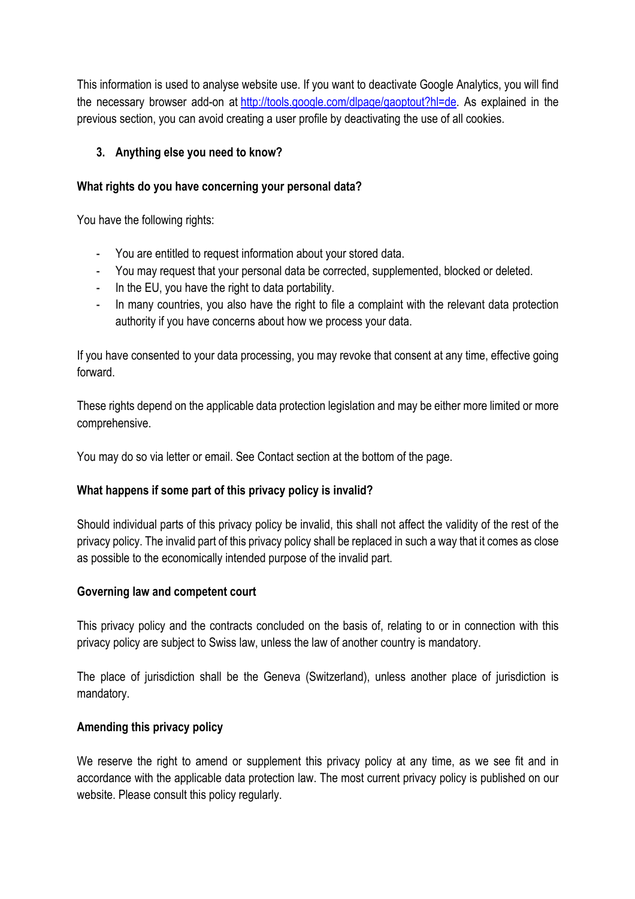This information is used to analyse website use. If you want to deactivate Google Analytics, you will find the necessary browser add-on at http://tools.google.com/dlpage/gaoptout?hl=de. As explained in the previous section, you can avoid creating a user profile by deactivating the use of all cookies.

# **3. Anything else you need to know?**

# **What rights do you have concerning your personal data?**

You have the following rights:

- You are entitled to request information about your stored data.
- You may request that your personal data be corrected, supplemented, blocked or deleted.
- In the EU, you have the right to data portability.
- In many countries, you also have the right to file a complaint with the relevant data protection authority if you have concerns about how we process your data.

If you have consented to your data processing, you may revoke that consent at any time, effective going forward.

These rights depend on the applicable data protection legislation and may be either more limited or more comprehensive.

You may do so via letter or email. See Contact section at the bottom of the page.

# **What happens if some part of this privacy policy is invalid?**

Should individual parts of this privacy policy be invalid, this shall not affect the validity of the rest of the privacy policy. The invalid part of this privacy policy shall be replaced in such a way that it comes as close as possible to the economically intended purpose of the invalid part.

## **Governing law and competent court**

This privacy policy and the contracts concluded on the basis of, relating to or in connection with this privacy policy are subject to Swiss law, unless the law of another country is mandatory.

The place of jurisdiction shall be the Geneva (Switzerland), unless another place of jurisdiction is mandatory.

## **Amending this privacy policy**

We reserve the right to amend or supplement this privacy policy at any time, as we see fit and in accordance with the applicable data protection law. The most current privacy policy is published on our website. Please consult this policy regularly.